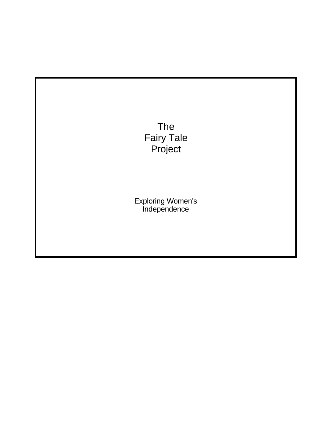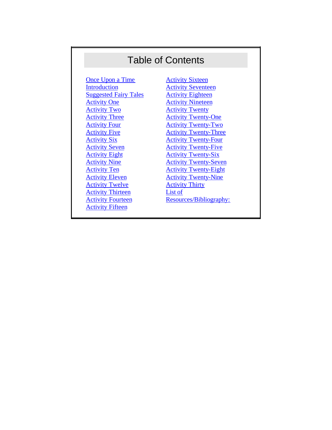# Table of Contents

[Once Upon a Time](#page-2-0) [Introduction](#page-3-0) **[Suggested Fairy Tales](#page-4-0)** [Activity One](#page-6-0) [Activity Two](#page-7-0) [Activity Three](#page-8-0) **[Activity Four](#page-9-0) [Activity Five](#page-10-0)** [Activity Six](#page-10-0) [Activity Seven](#page-12-0) [Activity Eight](#page-12-0) [Activity Nine](#page-13-0) [Activity Ten](#page-14-0) [Activity Eleven](#page-14-0) [Activity Twelve](#page-15-0) [Activity Thirteen](#page-17-0) **[Activity Fourteen](#page-18-0)** [Activity Fifteen](#page-19-0)

**[Activity Sixteen](#page-19-0)** [Activity Seventeen](#page-20-0) [Activity Eighteen](#page-21-0) **[Activity Nineteen](#page-21-0)** [Activity Twenty](#page-22-0) [Activity Twenty-One](#page-22-0) [Activity Twenty-Two](#page-23-0) **[Activity Twenty-Three](#page-24-0)** [Activity Twenty-Four](#page-25-0) [Activity Twenty-Five](#page-26-0) [Activity Twenty-Six](#page-26-0) [Activity Twenty-Seven](#page-26-0) [Activity Twenty-Eight](#page-28-0) [Activity Twenty-Nine](#page-28-0) [Activity Thirty](#page-28-0) [List of](#page-29-0)  [Resources/Bibliography:](#page-29-0)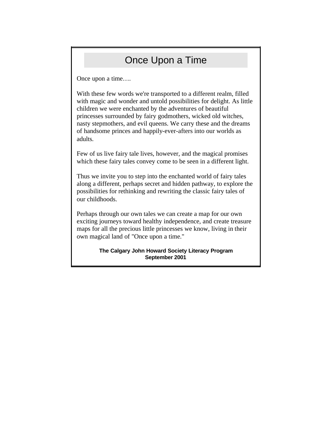## Once Upon a Time

<span id="page-2-0"></span>Once upon a time….

With these few words we're transported to a different realm, filled with magic and wonder and untold possibilities for delight. As little children we were enchanted by the adventures of beautiful princesses surrounded by fairy godmothers, wicked old witches, nasty stepmothers, and evil queens. We carry these and the dreams of handsome princes and happily-ever-afters into our worlds as adults.

Few of us live fairy tale lives, however, and the magical promises which these fairy tales convey come to be seen in a different light.

Thus we invite you to step into the enchanted world of fairy tales along a different, perhaps secret and hidden pathway, to explore the possibilities for rethinking and rewriting the classic fairy tales of our childhoods.

Perhaps through our own tales we can create a map for our own exciting journeys toward healthy independence, and create treasure maps for all the precious little princesses we know, living in their own magical land of "Once upon a time."

> **The Calgary John Howard Society Literacy Program September 2001**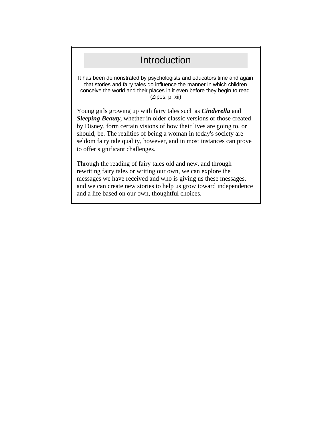#### Introduction

<span id="page-3-0"></span>It has been demonstrated by psychologists and educators time and again that stories and fairy tales do influence the manner in which children conceive the world and their places in it even before they begin to read. (Zipes, p. xii)

Young girls growing up with fairy tales such as *Cinderella* and *Sleeping Beauty*, whether in older classic versions or those created by Disney, form certain visions of how their lives are going to, or should, be. The realities of being a woman in today's society are seldom fairy tale quality, however, and in most instances can prove to offer significant challenges.

Through the reading of fairy tales old and new, and through rewriting fairy tales or writing our own, we can explore the messages we have received and who is giving us these messages, and we can create new stories to help us grow toward independence and a life based on our own, thoughtful choices.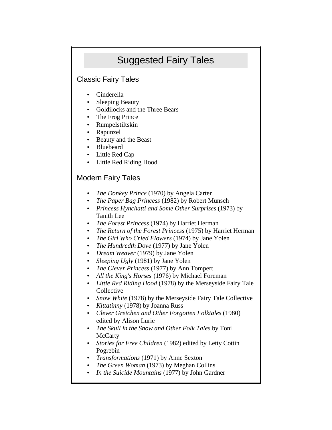# Suggested Fairy Tales

#### <span id="page-4-0"></span>Classic Fairy Tales

- Cinderella
- Sleeping Beauty
- Goldilocks and the Three Bears
- The Frog Prince
- Rumpelstiltskin
- Rapunzel
- Beauty and the Beast
- Bluebeard
- Little Red Cap
- Little Red Riding Hood

#### Modern Fairy Tales

- *The Donkey Prince* (1970) by Angela Carter
- *The Paper Bag Princess* (1982) by Robert Munsch
- *Princess Hynchatti and Some Other Surprises* (1973) by Tanith Lee
- *The Forest Princess* (1974) by Harriet Herman
- *The Return of the Forest Princess* (1975) by Harriet Herman
- *The Girl Who Cried Flowers* (1974) by Jane Yolen
- *The Hundredth Dove* (1977) by Jane Yolen
- *Dream Weaver* (1979) by Jane Yolen
- *Sleeping Ugly* (1981) by Jane Yolen
- *The Clever Princess* (1977) by Ann Tompert
- *All the King's Horses* (1976) by Michael Foreman
- *Little Red Riding Hood* (1978) by the Merseyside Fairy Tale **Collective**
- *Snow White* (1978) by the Merseyside Fairy Tale Collective
- *Kittatinny* (1978) by Joanna Russ
- *Clever Gretchen and Other Forgotten Folktales* (1980) edited by Alison Lurie
- *The Skull in the Snow and Other Folk Tales* by Toni **McCarty**
- *Stories for Free Children* (1982) edited by Letty Cottin Pogrebin
- *Transformations* (1971) by Anne Sexton
- *The Green Woman* (1973) by Meghan Collins
- *In the Suicide Mountains* (1977) by John Gardner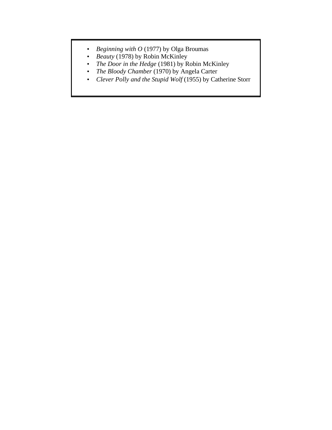- *Beginning with O* (1977) by Olga Broumas
- *Beauty* (1978) by Robin McKinley
- *The Door in the Hedge* (1981) by Robin McKinley
- *The Bloody Chamber* (1970) by Angela Carter
- *Clever Polly and the Stupid Wolf* (1955) by Catherine Storr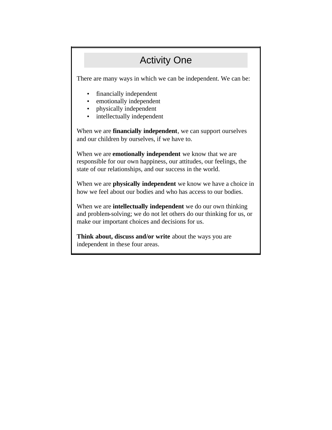## Activity One

<span id="page-6-0"></span>There are many ways in which we can be independent. We can be:

- financially independent
- emotionally independent
- physically independent
- intellectually independent

When we are **financially independent**, we can support ourselves and our children by ourselves, if we have to.

When we are **emotionally independent** we know that we are responsible for our own happiness, our attitudes, our feelings, the state of our relationships, and our success in the world.

When we are **physically independent** we know we have a choice in how we feel about our bodies and who has access to our bodies.

When we are **intellectually independent** we do our own thinking and problem-solving; we do not let others do our thinking for us, or make our important choices and decisions for us.

**Think about, discuss and/or write** about the ways you are independent in these four areas.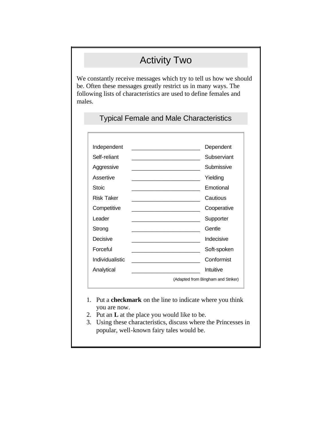# Activity Two

<span id="page-7-0"></span>We constantly receive messages which try to tell us how we should be. Often these messages greatly restrict us in many ways. The following lists of characteristics are used to define females and males.

#### Typical Female and Male Characteristics

| Independent       | Dependent                          |
|-------------------|------------------------------------|
| Self-reliant      | Subserviant                        |
| Aggressive        | Submissive                         |
| Assertive         | Yielding                           |
| Stoic             | Emotional                          |
| <b>Risk Taker</b> | Cautious                           |
| Competitive       | Cooperative                        |
| Leader            | Supporter                          |
| Strong            | Gentle                             |
| Decisive          | Indecisive                         |
| Forceful          | Soft-spoken                        |
| Individualistic   | Conformist                         |
| Analytical        | Intuitive                          |
|                   | (Adapted from Bingham and Striker) |
|                   |                                    |

- 1. Put a **checkmark** on the line to indicate where you think you are now.
- 2. Put an **L** at the place you would like to be.
- 3. Using these characteristics, discuss where the Princesses in popular, well-known fairy tales would be.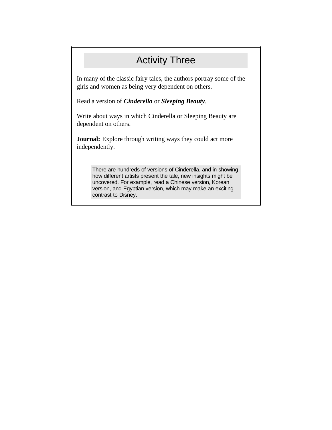### Activity Three

<span id="page-8-0"></span>In many of the classic fairy tales, the authors portray some of the girls and women as being very dependent on others.

Read a version of *Cinderella* or *Sleeping Beauty*.

Write about ways in which Cinderella or Sleeping Beauty are dependent on others.

**Journal:** Explore through writing ways they could act more independently.

There are hundreds of versions of Cinderella, and in showing how different artists present the tale, new insights might be uncovered. For example, read a Chinese version, Korean version, and Egyptian version, which may make an exciting contrast to Disney.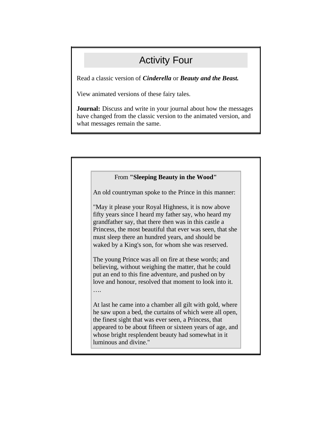## Activity Four

<span id="page-9-0"></span>Read a classic version of *Cinderella* or *Beauty and the Beast.*

View animated versions of these fairy tales.

**Journal:** Discuss and write in your journal about how the messages have changed from the classic version to the animated version, and what messages remain the same.

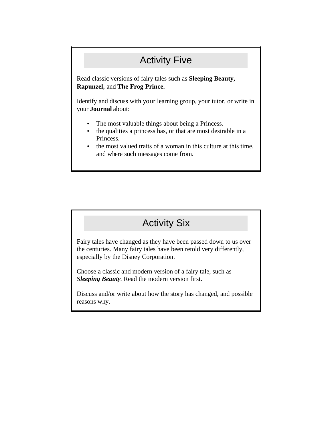# Activity Five

<span id="page-10-0"></span>Read classic versions of fairy tales such as **Sleeping Beauty, Rapunzel,** and **The Frog Prince.**

Identify and discuss with your learning group, your tutor, or write in your **Journal** about:

- The most valuable things about being a Princess.
- the qualities a princess has, or that are most desirable in a Princess.
- the most valued traits of a woman in this culture at this time, and where such messages come from.

#### Activity Six

Fairy tales have changed as they have been passed down to us over the centuries. Many fairy tales have been retold very differently, especially by the Disney Corporation.

Choose a classic and modern version of a fairy tale, such as *Sleeping Beauty*. Read the modern version first.

Discuss and/or write about how the story has changed, and possible reasons why.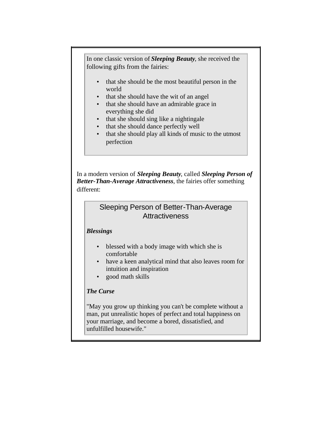In one classic version of *Sleeping Beauty*, she received the following gifts from the fairies:

- that she should be the most beautiful person in the world
- that she should have the wit of an angel
- that she should have an admirable grace in everything she did
- that she should sing like a nightingale
- that she should dance perfectly well
- that she should play all kinds of music to the utmost perfection

In a modern version of *Sleeping Beauty*, called *Sleeping Person of Better-Than-Average Attractiveness*, the fairies offer something different:

#### Sleeping Person of Better-Than-Average **Attractiveness**

#### *Blessings*

- blessed with a body image with which she is comfortable
- have a keen analytical mind that also leaves room for intuition and inspiration
- good math skills

#### *The Curse*

"May you grow up thinking you can't be complete without a man, put unrealistic hopes of perfect and total happiness on your marriage, and become a bored, dissatisfied, and unfulfilled housewife."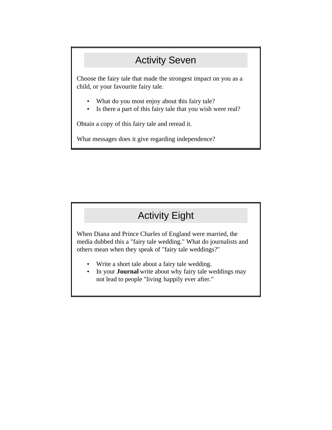## Activity Seven

<span id="page-12-0"></span>Choose the fairy tale that made the strongest impact on you as a child, or your favourite fairy tale.

- What do you most enjoy about this fairy tale?
- Is there a part of this fairy tale that you wish were real?

Obtain a copy of this fairy tale and reread it.

What messages does it give regarding independence?

## Activity Eight

When Diana and Prince Charles of England were married, the media dubbed this a "fairy tale wedding." What do journalists and others mean when they speak of "fairy tale weddings?"

- Write a short tale about a fairy tale wedding.
- In your **Journal** write about why fairy tale weddings may not lead to people "living happily ever after."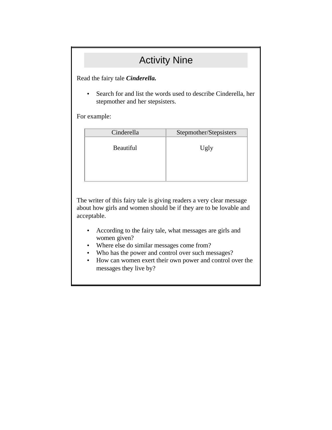### Activity Nine

<span id="page-13-0"></span>Read the fairy tale *Cinderella.*

• Search for and list the words used to describe Cinderella, her stepmother and her stepsisters.

For example:

| Cinderella       | Stepmother/Stepsisters |
|------------------|------------------------|
| <b>Beautiful</b> | Ugly                   |
|                  |                        |

The writer of this fairy tale is giving readers a very clear message about how girls and women should be if they are to be lovable and acceptable.

- According to the fairy tale, what messages are girls and women given?
- Where else do similar messages come from?
- Who has the power and control over such messages?
- How can women exert their own power and control over the messages they live by?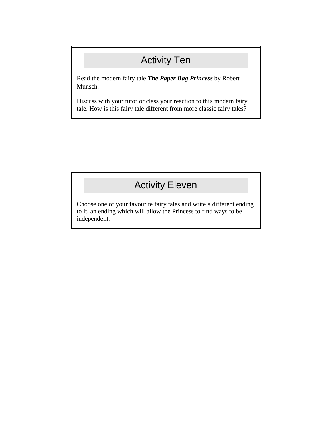# Activity Ten

<span id="page-14-0"></span>Read the modern fairy tale *The Paper Bag Princess* by Robert Munsch.

Discuss with your tutor or class your reaction to this modern fairy tale. How is this fairy tale different from more classic fairy tales?

# Activity Eleven

Choose one of your favourite fairy tales and write a different ending to it, an ending which will allow the Princess to find ways to be independent.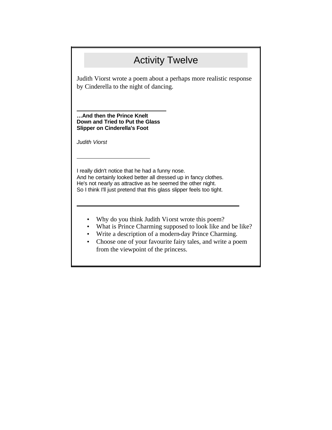## Activity Twelve

<span id="page-15-0"></span>Judith Viorst wrote a poem about a perhaps more realistic response by Cinderella to the night of dancing.

**…And then the Prince Knelt Down and Tried to Put the Glass Slipper on Cinderella's Foot** 

*Judith Viorst*

I really didn't notice that he had a funny nose. And he certainly looked better all dressed up in fancy clothes. He's not nearly as attractive as he seemed the other night. So I think I'll just pretend that this glass slipper feels too tight.

- Why do you think Judith Viorst wrote this poem?
- What is Prince Charming supposed to look like and be like?
- Write a description of a modern-day Prince Charming.
- Choose one of your favourite fairy tales, and write a poem from the viewpoint of the princess.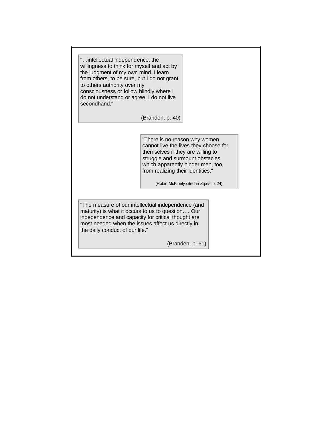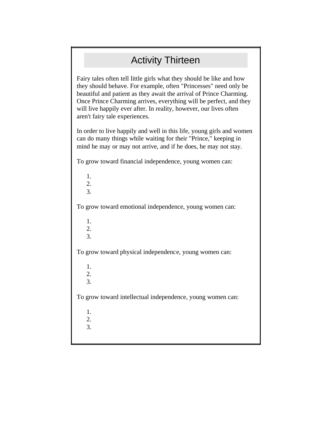# Activity Thirteen

<span id="page-17-0"></span>Fairy tales often tell little girls what they should be like and how they should behave. For example, often "Princesses" need only be beautiful and patient as they await the arrival of Prince Charming. Once Prince Charming arrives, everything will be perfect, and they will live happily ever after. In reality, however, our lives often aren't fairy tale experiences.

In order to live happily and well in this life, young girls and women can do many things while waiting for their "Prince," keeping in mind he may or may not arrive, and if he does, he may not stay.

To grow toward financial independence, young women can:

1. 2. 3. To grow toward emotional independence, young women can: 1. 2. 3. To grow toward physical independence, young women can: 1. 2. 3. To grow toward intellectual independence, young women can: 1. 2. 3.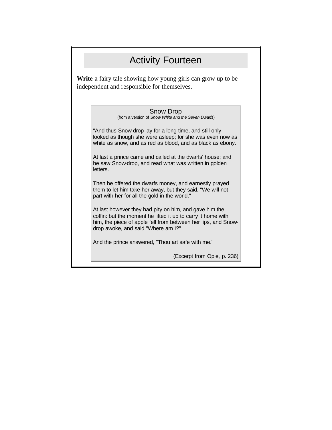### Activity Fourteen

<span id="page-18-0"></span>**Write** a fairy tale showing how young girls can grow up to be independent and responsible for themselves.

| (from a version of Snow White and the Seven Dwarfs)                                                                                                                                | <b>Snow Drop</b> |  |  |
|------------------------------------------------------------------------------------------------------------------------------------------------------------------------------------|------------------|--|--|
| "And thus Snow-drop lay for a long time, and still only<br>looked as though she were asleep; for she was even now as<br>white as snow, and as red as blood, and as black as ebony. |                  |  |  |

At last a prince came and called at the dwarfs' house; and he saw Snow-drop, and read what was written in golden letters.

Then he offered the dwarfs money, and earnestly prayed them to let him take her away, but they said, "We will not part with her for all the gold in the world."

At last however they had pity on him, and gave him the coffin: but the moment he lifted it up to carry it home with him, the piece of apple fell from between her lips, and Snowdrop awoke, and said "Where am I?"

And the prince answered, "Thou art safe with me."

(Excerpt from Opie, p. 236)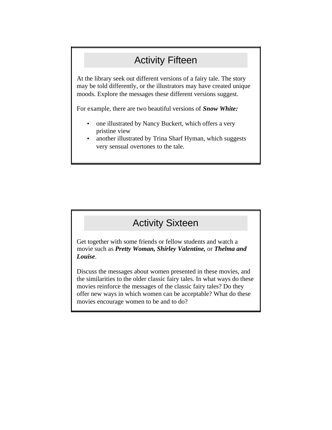#### Activity Fifteen

<span id="page-19-0"></span>At the library seek out different versions of a fairy tale. The story may be told differently, or the illustrators may have created unique moods. Explore the messages these different versions suggest.

For example, there are two beautiful versions of *Snow White:*

- one illustrated by Nancy Buckert, which offers a very pristine view
- another illustrated by Trina Sharf Hyman, which suggests very sensual overtones to the tale.

#### Activity Sixteen

Get together with some friends or fellow students and watch a movie such as *Pretty Woman, Shirley Valentine,* or *Thelma and Louise*.

Discuss the messages about women presented in these movies, and the similarities to the older classic fairy tales. In what ways do these movies reinforce the messages of the classic fairy tales? Do they offer new ways in which women can be acceptable? What do these movies encourage women to be and to do?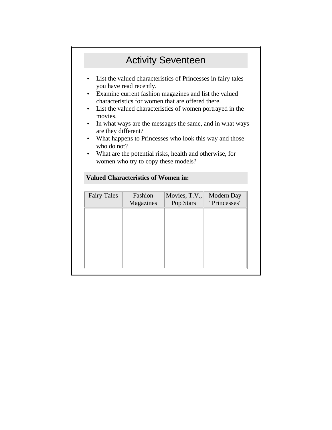## Activity Seventeen

- <span id="page-20-0"></span>• List the valued characteristics of Princesses in fairy tales you have read recently.
- Examine current fashion magazines and list the valued characteristics for women that are offered there.
- List the valued characteristics of women portrayed in the movies.
- In what ways are the messages the same, and in what ways are they different?
- What happens to Princesses who look this way and those who do not?
- What are the potential risks, health and otherwise, for women who try to copy these models?

| <b>Fairy Tales</b> | Fashion<br>Magazines | Movies, T.V.,<br>Pop Stars | Modern Day<br>"Princesses" |
|--------------------|----------------------|----------------------------|----------------------------|
|                    |                      |                            |                            |
|                    |                      |                            |                            |
|                    |                      |                            |                            |
|                    |                      |                            |                            |
|                    |                      |                            |                            |

#### **Valued Characteristics of Women in:**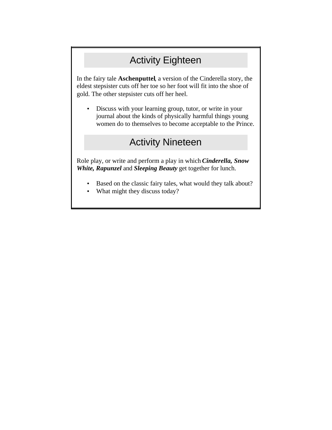# Activity Eighteen

<span id="page-21-0"></span>In the fairy tale **Aschenputtel**, a version of the Cinderella story, the eldest stepsister cuts off her toe so her foot will fit into the shoe of gold. The other stepsister cuts off her heel.

• Discuss with your learning group, tutor, or write in your journal about the kinds of physically harmful things young women do to themselves to become acceptable to the Prince.

#### Activity Nineteen

Role play, or write and perform a play in which *Cinderella, Snow White, Rapunzel* and *Sleeping Beauty* get together for lunch.

- Based on the classic fairy tales, what would they talk about?
- What might they discuss today?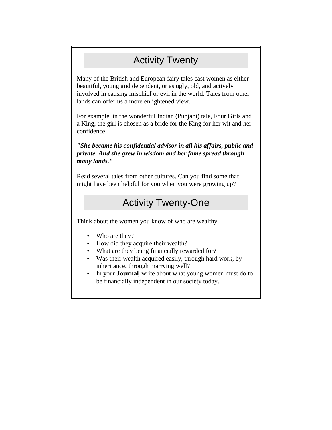## Activity Twenty

<span id="page-22-0"></span>Many of the British and European fairy tales cast women as either beautiful, young and dependent, or as ugly, old, and actively involved in causing mischief or evil in the world. Tales from other lands can offer us a more enlightened view.

For example, in the wonderful Indian (Punjabi) tale, Four Girls and a King, the girl is chosen as a bride for the King for her wit and her confidence.

*"She became his confidential advisor in all his affairs, public and private. And she grew in wisdom and her fame spread through many lands."* 

Read several tales from other cultures. Can you find some that might have been helpful for you when you were growing up?

#### Activity Twenty-One

Think about the women you know of who are wealthy.

- Who are they?
- How did they acquire their wealth?
- What are they being financially rewarded for?
- Was their wealth acquired easily, through hard work, by inheritance, through marrying well?
- In your **Journal**, write about what young women must do to be financially independent in our society today.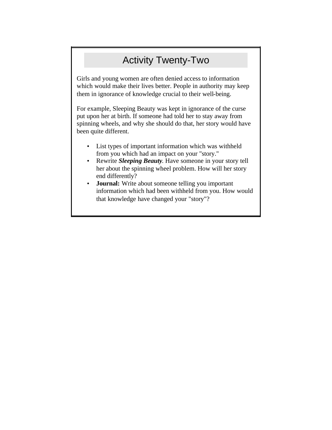# Activity Twenty-Two

<span id="page-23-0"></span>Girls and young women are often denied access to information which would make their lives better. People in authority may keep them in ignorance of knowledge crucial to their well-being.

For example, Sleeping Beauty was kept in ignorance of the curse put upon her at birth. If someone had told her to stay away from spinning wheels, and why she should do that, her story would have been quite different.

- List types of important information which was withheld from you which had an impact on your "story."
- Rewrite *Sleeping Beauty*. Have someone in your story tell her about the spinning wheel problem. How will her story end differently?
- **Journal:** Write about someone telling you important information which had been withheld from you. How would that knowledge have changed your "story"?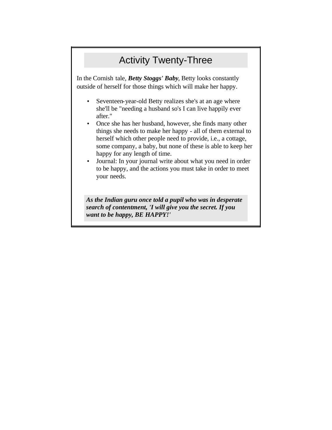# Activity Twenty-Three

<span id="page-24-0"></span>In the Cornish tale, *Betty Stoggs' Baby*, Betty looks constantly outside of herself for those things which will make her happy.

- Seventeen-year-old Betty realizes she's at an age where she'll be "needing a husband so's I can live happily ever after."
- Once she has her husband, however, she finds many other things she needs to make her happy - all of them external to herself which other people need to provide, i.e., a cottage, some company, a baby, but none of these is able to keep her happy for any length of time.
- Journal: In your journal write about what you need in order to be happy, and the actions you must take in order to meet your needs.

*As the Indian guru once told a pupil who was in desperate search of contentment, 'I will give you the secret. If you want to be happy, BE HAPPY!'*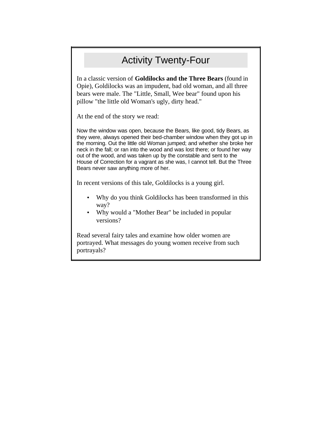## Activity Twenty-Four

<span id="page-25-0"></span>In a classic version of **Goldilocks and the Three Bears** (found in Opie), Goldilocks was an impudent, bad old woman, and all three bears were male. The "Little, Small, Wee bear" found upon his pillow "the little old Woman's ugly, dirty head."

At the end of the story we read:

Now the window was open, because the Bears, like good, tidy Bears, as they were, always opened their bed-chamber window when they got up in the morning. Out the little old Woman jumped; and whether she broke her neck in the fall; or ran into the wood and was lost there; or found her way out of the wood, and was taken up by the constable and sent to the House of Correction for a vagrant as she was, I cannot tell. But the Three Bears never saw anything more of her.

In recent versions of this tale, Goldilocks is a young girl.

- Why do you think Goldilocks has been transformed in this way?
- Why would a "Mother Bear" be included in popular versions?

Read several fairy tales and examine how older women are portrayed. What messages do young women receive from such portrayals?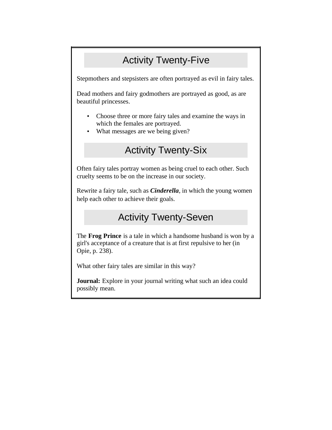# Activity Twenty-Five

<span id="page-26-0"></span>Stepmothers and stepsisters are often portrayed as evil in fairy tales.

Dead mothers and fairy godmothers are portrayed as good, as are beautiful princesses.

- Choose three or more fairy tales and examine the ways in which the females are portrayed.
- What messages are we being given?

## Activity Twenty-Six

Often fairy tales portray women as being cruel to each other. Such cruelty seems to be on the increase in our society.

Rewrite a fairy tale, such as *Cinderella*, in which the young women help each other to achieve their goals.

#### Activity Twenty-Seven

The **Frog Prince** is a tale in which a handsome husband is won by a girl's acceptance of a creature that is at first repulsive to her (in Opie, p. 238).

What other fairy tales are similar in this way?

**Journal:** Explore in your journal writing what such an idea could possibly mean.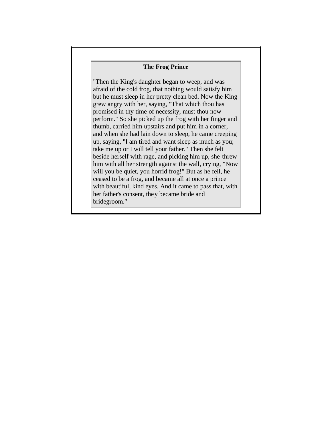#### **The Frog Prince**

"Then the King's daughter began to weep, and was afraid of the cold frog, that nothing would satisfy him but he must sleep in her pretty clean bed. Now the King grew angry with her, saying, "That which thou has promised in thy time of necessity, must thou now perform." So she picked up the frog with her finger and thumb, carried him upstairs and put him in a corner, and when she had lain down to sleep, he came creeping up, saying, "I am tired and want sleep as much as you; take me up or I will tell your father." Then she felt beside herself with rage, and picking him up, she threw him with all her strength against the wall, crying, "Now will you be quiet, you horrid frog!" But as he fell, he ceased to be a frog, and became all at once a prince with beautiful, kind eyes. And it came to pass that, with her father's consent, they became bride and bridegroom."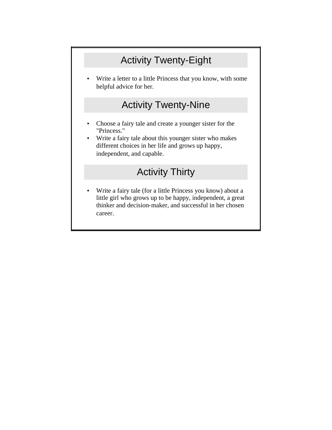# Activity Twenty-Eight

<span id="page-28-0"></span>Write a letter to a little Princess that you know, with some helpful advice for her.

#### Activity Twenty-Nine

- Choose a fairy tale and create a younger sister for the "Princess."
- Write a fairy tale about this younger sister who makes different choices in her life and grows up happy, independent, and capable.

## Activity Thirty

• Write a fairy tale (for a little Princess you know) about a little girl who grows up to be happy, independent, a great thinker and decision-maker, and successful in her chosen career.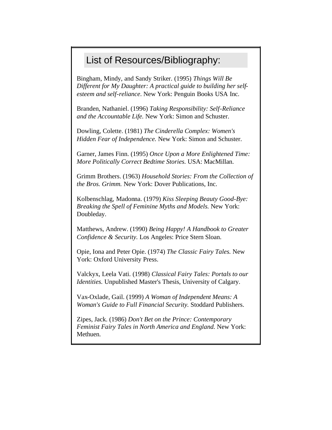#### <span id="page-29-0"></span>List of Resources/Bibliography:

Bingham, Mindy, and Sandy Striker. (1995) *Things Will Be Different for My Daughter: A practical guide to building her selfesteem and self-reliance*. New York: Penguin Books USA Inc.

Branden, Nathaniel. (1996) *Taking Responsibility: Self-Reliance and the Accountable Life.* New York: Simon and Schuster.

Dowling, Colette. (1981) *The Cinderella Complex: Women's Hidden Fear of Independence.* New York: Simon and Schuster.

Garner, James Finn. (1995) *Once Upon a More Enlightened Time: More Politically Correct Bedtime Stories.* USA: MacMillan.

Grimm Brothers. (1963) *Household Stories: From the Collection of the Bros. Grimm.* New York: Dover Publications, Inc.

Kolbenschlag, Madonna. (1979) *Kiss Sleeping Beauty Good-Bye: Breaking the Spell of Feminine Myths and Models.* New York: Doubleday.

Matthews, Andrew. (1990) *Being Happy! A Handbook to Greater Confidence & Security.* Los Angeles: Price Stern Sloan.

Opie, Iona and Peter Opie. (1974) *The Classic Fairy Tales.* New York: Oxford University Press.

Valckyx, Leela Vati. (1998) *Classical Fairy Tales: Portals to our Identities.* Unpublished Master's Thesis, University of Calgary.

Vax-Oxlade, Gail. (1999) *A Woman of Independent Means: A Woman's Guide to Full Financial Security.* Stoddard Publishers.

Zipes, Jack. (1986) *Don't Bet on the Prince: Contemporary Feminist Fairy Tales in North America and England.* New York: Methuen.